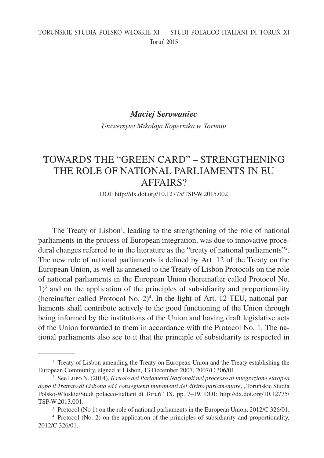## TORUŃSKIE STUDIA POLSKO-WŁOSKIE XI — STUDI POLACCO-ITALIANI DI TORUŃ XI Toruń 2015

## *Maciej Serowaniec*

*Uniwersytet Mikołaja Kopernika w Toruniu*

# TOWARDS THE "GREEN CARD" – STRENGTHENING THE ROLE OF NATIONAL PARLIAMENTS IN EU AFFAIRS?

DOI: http://dx.doi.org/10.12775/TSP-W.2015.002

The Treaty of Lisbon<sup>1</sup>, leading to the strengthening of the role of national parliaments in the process of European integration, was due to innovative procedural changes referred to in the literature as the "treaty of national parliaments"2 . The new role of national parliaments is defined by Art. 12 of the Treaty on the European Union, as well as annexed to the Treaty of Lisbon Protocols on the role of national parliaments in the European Union (hereinafter called Protocol No.  $1$ <sup>3</sup> and on the application of the principles of subsidiarity and proportionality (hereinafter called Protocol No.  $2)^4$ . In the light of Art. 12 TEU, national parliaments shall contribute actively to the good functioning of the Union through being informed by the institutions of the Union and having draft legislative acts of the Union forwarded to them in accordance with the Protocol No. 1. The national parliaments also see to it that the principle of subsidiarity is respected in

<sup>&</sup>lt;sup>1</sup> Treaty of Lisbon amending the Treaty on European Union and the Treaty establishing the European Community, signed at Lisbon, 13 December 2007, 2007/C 306/01.

<sup>2</sup> See Lupo N. (2014), *Il ruolo dei Parlamenti Nazionali nel processo di integrazione europea dopo il Trattato di Lisbona ed i conseguenti mutamenti del diritto parlamentare*, "Toruńskie Studia Polsko-Włoskie/Studi polacco-italiani di Toruń" IX, pp. 7–19, DOI: http://dx.doi.org/10.12775/ TSP-W.2013.001.

<sup>&</sup>lt;sup>3</sup> Protocol (No 1) on the role of national parliaments in the European Union, 2012/C 326/01.

<sup>4</sup> Protocol (No. 2) on the application of the principles of subsidiarity and proportionality, 2012/C 326/01.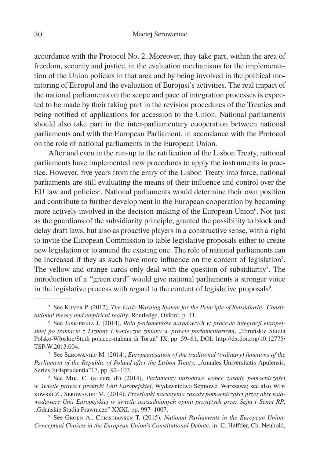accordance with the Protocol No. 2. Moreover, they take part, within the area of freedom, security and justice, in the evaluation mechanisms for the implementation of the Union policies in that area and by being involved in the political monitoring of Europol and the evaluation of Eurojust's activities. The real impact of the national parliaments on the scope and pace of integration processes is expected to be made by their taking part in the revision procedures of the Treaties and being notified of applications for accession to the Union. National parliaments should also take part in the inter-parliamentary cooperation between national parliaments and with the European Parliament, in accordance with the Protocol on the role of national parliaments in the European Union.

After and even in the run-up to the ratification of the Lisbon Treaty, national parliaments have implemented new procedures to apply the instruments in practice. However, five years from the entry of the Lisbon Treaty into force, national parliaments are still evaluating the means of their influence and control over the EU law and policies<sup>5</sup>. National parliaments would determine their own position and contribute to further development in the European cooperation by becoming more actively involved in the decision-making of the European Union<sup>6</sup>. Not just as the guardians of the subsidiarity principle, granted the possibility to block and delay draft laws, but also as proactive players in a constructive sense, with a right to invite the European Commission to table legislative proposals either to create new legislation or to amend the existing one. The role of national parliaments can be increased if they as such have more influence on the content of legislation<sup>7</sup>. The yellow and orange cards only deal with the question of subsidiarity<sup>8</sup>. The introduction of a "green card" would give national parliaments a stronger voice in the legislative process with regard to the content of legislative proposals<sup>9</sup>.

<sup>&</sup>lt;sup>5</sup> See KIIVER P. (2012), *The Early Warning System for the Principle of Subsidiarity. Constitutional theory and empirical reality*, Routledge, Oxford, p. 11.

<sup>6</sup> See Jaskiernia J. (2014), *Rola parlamentów narodowych w procesie integracji europejskiej po traktacie z Lizbony i konieczne zmiany w prawie parlamentarnym*, "Toruńskie Studia Polsko-Włoskie/Studi polacco-italiani di Toruń" IX, pp. 59–61, DOI: http://dx.doi.org/10.12775/ TSP-W.2013.004.

<sup>7</sup> See Serowaniec M. (2014), *Europeanisation of the traditional (ordinary) functions of the*  Parliament of the Republic of Poland after the Lisbon Treaty, "Annales Universitatis Apulensis, Series Jurisprudentia"17, pp. 92–103.

<sup>8</sup> See Mik. C. (a cura di) (2014), *Parlamenty narodowe wobec zasady pomocniczości w świetle prawa i praktyki Unii Europejskiej*, Wydawnictwo Sejmowe, Warszawa; see also Witkowski Z., Serowaniec M. (2014), *Przesłanki naruszenia zasady pomocniczości przez akty ustawodawcze Unii Europejskiej w świetle uzasadnionych opinii przyjętych przez Sejm i Senat RP*, "Gdańskie Studia Prawnicze" XXXI, pp. 997-1007.

<sup>9</sup> See Groen A., Christiansen T. (2015), *National Parliaments in the European Union: Conceptual Choises in the European Union's Constitutional Debate*, in: C. Hefftler, Ch. Neuhold,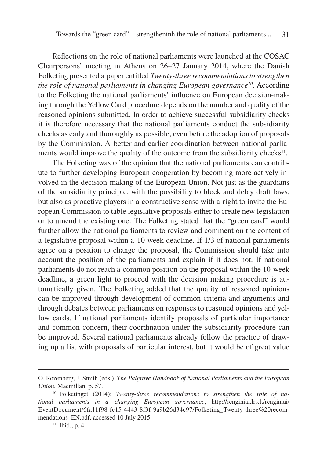Reflections on the role of national parliaments were launched at the COSAC Chairpersons' meeting in Athens on 26–27 January 2014, where the Danish Folketing presented a paper entitled *Twenty-three recommendations to strengthen the role of national parliaments in changing European governance<sup>10</sup>. According* to the Folketing the national parliaments' influence on European decision-making through the Yellow Card procedure depends on the number and quality of the reasoned opinions submitted. In order to achieve successful subsidiarity checks it is therefore necessary that the national parliaments conduct the subsidiarity checks as early and thoroughly as possible, even before the adoption of proposals by the Commission. A better and earlier coordination between national parliaments would improve the quality of the outcome from the subsidiarity checks $11$ .

The Folketing was of the opinion that the national parliaments can contribute to further developing European cooperation by becoming more actively involved in the decision-making of the European Union. Not just as the guardians of the subsidiarity principle, with the possibility to block and delay draft laws, but also as proactive players in a constructive sense with a right to invite the European Commission to table legislative proposals either to create new legislation or to amend the existing one. The Folketing stated that the "green card" would further allow the national parliaments to review and comment on the content of a legislative proposal within a 10-week deadline. If 1/3 of national parliaments agree on a position to change the proposal, the Commission should take into account the position of the parliaments and explain if it does not. If national parliaments do not reach a common position on the proposal within the 10-week deadline, a green light to proceed with the decision making procedure is automatically given. The Folketing added that the quality of reasoned opinions can be improved through development of common criteria and arguments and through debates between parliaments on responses to reasoned opinions and yellow cards. If national parliaments identify proposals of particular importance and common concern, their coordination under the subsidiarity procedure can be improved. Several national parliaments already follow the practice of drawing up a list with proposals of particular interest, but it would be of great value

O. Rozenberg, J. Smith (eds.), *The Palgrave Handbook of National Parliaments and the European Union*, Macmillan, p. 57.

<sup>10</sup> Folketinget (2014): *Twenty-three recommendations to strengthen the role of national parliaments in a changing European governance*, http://renginiai.lrs.lt/renginiai/ EventDocument/6fa11f98-fc15-4443-8f3f-9a9b26d34c97/Folketing\_Twenty-three%20recommendations\_EN.pdf, accessed 10 July 2015.

 $11$  Ibid., p. 4.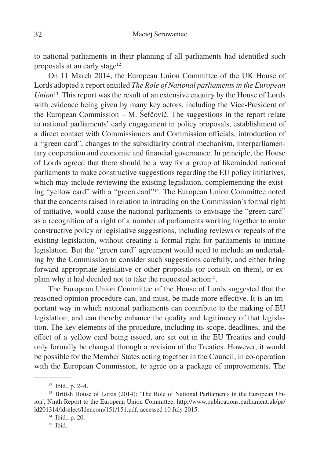to national parliaments in their planning if all parliaments had identified such proposals at an early stage $12$ .

On 11 March 2014, the European Union Committee of the UK House of Lords adopted a report entitled *The Role of National parliaments in the European Union*13. This report was the result of an extensive enquiry by the House of Lords with evidence being given by many key actors, including the Vice-President of the European Commission – M. Šefčovič. The suggestions in the report relate to national parliaments' early engagement in policy proposals, establishment of a direct contact with Commissioners and Commission officials, introduction of a "green card", changes to the subsidiarity control mechanism, interparliamentary cooperation and economic and financial governance. In principle, the House of Lords agreed that there should be a way for a group of likeminded national parliaments to make constructive suggestions regarding the EU policy initiatives, which may include reviewing the existing legislation, complementing the existing "yellow card" with a "green card"14. The European Union Committee noted that the concerns raised in relation to intruding on the Commission's formal right of initiative, would cause the national parliaments to envisage the "green card" as a recognition of a right of a number of parliaments working together to make constructive policy or legislative suggestions, including reviews or repeals of the existing legislation, without creating a formal right for parliaments to initiate legislation. But the "green card" agreement would need to include an undertaking by the Commission to consider such suggestions carefully, and either bring forward appropriate legislative or other proposals (or consult on them), or explain why it had decided not to take the requested action<sup>15</sup>.

The European Union Committee of the House of Lords suggested that the reasoned opinion procedure can, and must, be made more effective. It is an important way in which national parliaments can contribute to the making of EU legislation; and can thereby enhance the quality and legitimacy of that legislation. The key elements of the procedure, including its scope, deadlines, and the effect of a yellow card being issued, are set out in the EU Treaties and could only formally be changed through a revision of the Treaties. However, it would be possible for the Member States acting together in the Council, in co-operation with the European Commission, to agree on a package of improvements. The

<sup>12</sup> Ibid., p. 2–4.

<sup>&</sup>lt;sup>13</sup> British House of Lords (2014): 'The Role of National Parliaments in the European Union', Ninth Report to the European Union Committee, http://www.publications.parliament.uk/pa/ ld201314/ldselect/ldeucom/151/151.pdf, accessed 10 July 2015.

<sup>14</sup> Ibid., p. 20.

 $15$  Ibid.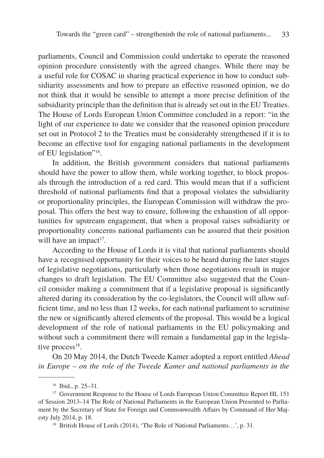parliaments, Council and Commission could undertake to operate the reasoned opinion procedure consistently with the agreed changes. While there may be a useful role for COSAC in sharing practical experience in how to conduct subsidiarity assessments and how to prepare an effective reasoned opinion, we do not think that it would be sensible to attempt a more precise definition of the subsidiarity principle than the definition that is already set out in the EU Treaties. The House of Lords European Union Committee concluded in a report: "in the light of our experience to date we consider that the reasoned opinion procedure set out in Protocol 2 to the Treaties must be considerably strengthened if it is to become an effective tool for engaging national parliaments in the development of EU legislation"16.

In addition, the British government considers that national parliaments should have the power to allow them, while working together, to block proposals through the introduction of a red card. This would mean that if a sufficient threshold of national parliaments find that a proposal violates the subsidiarity or proportionality principles, the European Commission will withdraw the proposal. This offers the best way to ensure, following the exhaustion of all opportunities for upstream engagement, that when a proposal raises subsidiarity or proportionality concerns national parliaments can be assured that their position will have an impact<sup>17</sup>.

According to the House of Lords it is vital that national parliaments should have a recognised opportunity for their voices to be heard during the later stages of legislative negotiations, particularly when those negotiations result in major changes to draft legislation. The EU Committee also suggested that the Council consider making a commitment that if a legislative proposal is significantly altered during its consideration by the co-legislators, the Council will allow sufficient time, and no less than 12 weeks, for each national parliament to scrutinise the new or significantly altered elements of the proposal. This would be a logical development of the role of national parliaments in the EU policymaking and without such a commitment there will remain a fundamental gap in the legislative process<sup>18</sup>.

On 20 May 2014, the Dutch Tweede Kamer adopted a report entitled *Ahead in Europe – on the role of the Tweede Kamer and national parliaments in the* 

<sup>16</sup> Ibid., p. 25–31.

<sup>&</sup>lt;sup>17</sup> Government Response to the House of Lords European Union Committee Report HL 151 of Session 2013–14 The Role of National Parliaments in the European Union Presented to Parliament by the Secretary of State for Foreign and Commonwealth Affairs by Command of Her Majesty July 2014, p. 18.

<sup>18</sup> British House of Lords (2014), 'The Role of National Parliaments…', p. 31.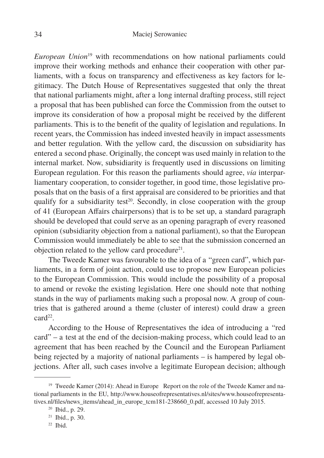*European Union*<sup>19</sup> with recommendations on how national parliaments could improve their working methods and enhance their cooperation with other parliaments, with a focus on transparency and effectiveness as key factors for legitimacy. The Dutch House of Representatives suggested that only the threat that national parliaments might, after a long internal drafting process, still reject a proposal that has been published can force the Commission from the outset to improve its consideration of how a proposal might be received by the different parliaments. This is to the benefit of the quality of legislation and regulations. In recent years, the Commission has indeed invested heavily in impact assessments and better regulation. With the yellow card, the discussion on subsidiarity has entered a second phase. Originally, the concept was used mainly in relation to the internal market. Now, subsidiarity is frequently used in discussions on limiting European regulation. For this reason the parliaments should agree, *via* interparliamentary cooperation, to consider together, in good time, those legislative proposals that on the basis of a first appraisal are considered to be priorities and that qualify for a subsidiarity test<sup>20</sup>. Secondly, in close cooperation with the group of 41 (European Affairs chairpersons) that is to be set up, a standard paragraph should be developed that could serve as an opening paragraph of every reasoned opinion (subsidiarity objection from a national parliament), so that the European Commission would immediately be able to see that the submission concerned an objection related to the yellow card procedure $21$ .

The Tweede Kamer was favourable to the idea of a "green card", which parliaments, in a form of joint action, could use to propose new European policies to the European Commission. This would include the possibility of a proposal to amend or revoke the existing legislation. Here one should note that nothing stands in the way of parliaments making such a proposal now. A group of countries that is gathered around a theme (cluster of interest) could draw a green card<sup>22</sup>.

According to the House of Representatives the idea of introducing a "red card" – a test at the end of the decision-making process, which could lead to an agreement that has been reached by the Council and the European Parliament being rejected by a majority of national parliaments – is hampered by legal objections. After all, such cases involve a legitimate European decision; although

<sup>&</sup>lt;sup>19</sup> Tweede Kamer (2014): Ahead in Europe Report on the role of the Tweede Kamer and national parliaments in the EU, http://www.houseofrepresentatives.nl/sites/www.houseofrepresentatives.nl/files/news\_items/ahead\_in\_europe\_tcm181-238660\_0.pdf, accessed 10 July 2015.

<sup>20</sup> Ibid., p. 29.

<sup>21</sup> Ibid., p. 30.

 $22$  Ibid.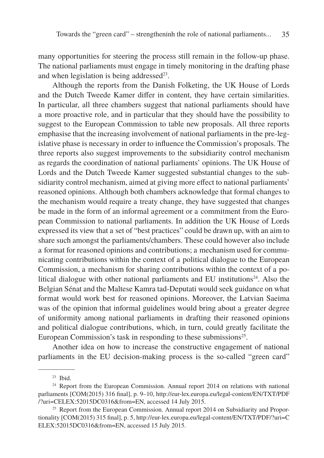many opportunities for steering the process still remain in the follow-up phase. The national parliaments must engage in timely monitoring in the drafting phase and when legislation is being addressed $23$ .

Although the reports from the Danish Folketing, the UK House of Lords and the Dutch Tweede Kamer differ in content, they have certain similarities. In particular, all three chambers suggest that national parliaments should have a more proactive role, and in particular that they should have the possibility to suggest to the European Commission to table new proposals. All three reports emphasise that the increasing involvement of national parliaments in the pre-legislative phase is necessary in order to influence the Commission's proposals. The three reports also suggest improvements to the subsidiarity control mechanism as regards the coordination of national parliaments' opinions. The UK House of Lords and the Dutch Tweede Kamer suggested substantial changes to the subsidiarity control mechanism, aimed at giving more effect to national parliaments' reasoned opinions. Although both chambers acknowledge that formal changes to the mechanism would require a treaty change, they have suggested that changes be made in the form of an informal agreement or a commitment from the European Commission to national parliaments. In addition the UK House of Lords expressed its view that a set of "best practices" could be drawn up, with an aim to share such amongst the parliaments/chambers. These could however also include a format for reasoned opinions and contributions; a mechanism used for communicating contributions within the context of a political dialogue to the European Commission, a mechanism for sharing contributions within the context of a political dialogue with other national parliaments and EU institutions<sup>24</sup>. Also the Belgian Sénat and the Maltese Kamra tad-Deputati would seek guidance on what format would work best for reasoned opinions. Moreover, the Latvian Saeima was of the opinion that informal guidelines would bring about a greater degree of uniformity among national parliaments in drafting their reasoned opinions and political dialogue contributions, which, in turn, could greatly facilitate the European Commission's task in responding to these submissions<sup>25</sup>.

Another idea on how to increase the constructive engagement of national parliaments in the EU decision-making process is the so-called "green card"

<sup>23</sup> Ibid.

<sup>&</sup>lt;sup>24</sup> Report from the European Commission. Annual report 2014 on relations with national parliaments [COM(2015) 316 final], p. 9–10, http://eur-lex.europa.eu/legal-content/EN/TXT/PDF /?uri=CELEX:52015DC0316&from=EN, accessed 14 July 2015.

<sup>&</sup>lt;sup>25</sup> Report from the European Commission. Annual report 2014 on Subsidiarity and Proportionality [COM(2015) 315 final], p. 5, http://eur-lex.europa.eu/legal-content/EN/TXT/PDF/?uri=C ELEX:52015DC0316&from=EN, accessed 15 July 2015.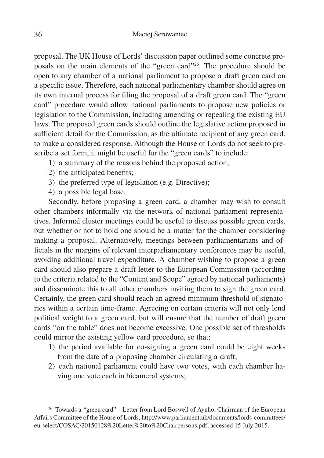proposal. The UK House of Lords' discussion paper outlined some concrete proposals on the main elements of the "green card"26. The procedure should be open to any chamber of a national parliament to propose a draft green card on a specific issue. Therefore, each national parliamentary chamber should agree on its own internal process for filing the proposal of a draft green card. The "green card" procedure would allow national parliaments to propose new policies or legislation to the Commission, including amending or repealing the existing EU laws. The proposed green cards should outline the legislative action proposed in sufficient detail for the Commission, as the ultimate recipient of any green card, to make a considered response. Although the House of Lords do not seek to prescribe a set form, it might be useful for the "green cards" to include:

- 1) a summary of the reasons behind the proposed action;
- 2) the anticipated benefits;
- 3) the preferred type of legislation (e.g. Directive);
- 4) a possible legal base.

Secondly, before proposing a green card, a chamber may wish to consult other chambers informally via the network of national parliament representatives. Informal cluster meetings could be useful to discuss possible green cards, but whether or not to hold one should be a matter for the chamber considering making a proposal. Alternatively, meetings between parliamentarians and officials in the margins of relevant interparliamentary conferences may be useful, avoiding additional travel expenditure. A chamber wishing to propose a green card should also prepare a draft letter to the European Commission (according to the criteria related to the "Content and Scope" agreed by national parliaments) and disseminate this to all other chambers inviting them to sign the green card. Certainly, the green card should reach an agreed minimum threshold of signatories within a certain time-frame. Agreeing on certain criteria will not only lend political weight to a green card, but will ensure that the number of draft green cards "on the table" does not become excessive. One possible set of thresholds could mirror the existing yellow card procedure, so that:

- 1) the period available for co-signing a green card could be eight weeks from the date of a proposing chamber circulating a draft;
- 2) each national parliament could have two votes, with each chamber having one vote each in bicameral systems;

<sup>&</sup>lt;sup>26</sup> Towards a "green card" – Letter from Lord Boswell of Aynho, Chairman of the European Affairs Committee of the House of Lords, http://www.parliament.uk/documents/lords-committees/ eu-select/COSAC/20150128%20Letter%20to%20Chairpersons.pdf, accessed 15 July 2015.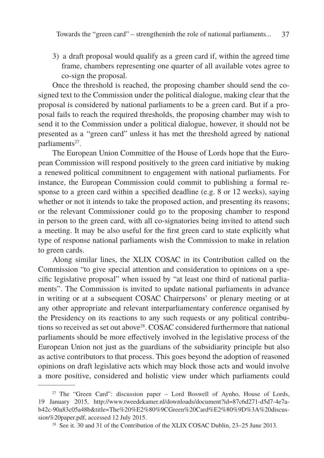3) a draft proposal would qualify as a green card if, within the agreed time frame, chambers representing one quarter of all available votes agree to co-sign the proposal.

Once the threshold is reached, the proposing chamber should send the cosigned text to the Commission under the political dialogue, making clear that the proposal is considered by national parliaments to be a green card. But if a proposal fails to reach the required thresholds, the proposing chamber may wish to send it to the Commission under a political dialogue, however, it should not be presented as a "green card" unless it has met the threshold agreed by national parliaments<sup>27</sup>.

The European Union Committee of the House of Lords hope that the European Commission will respond positively to the green card initiative by making a renewed political commitment to engagement with national parliaments. For instance, the European Commission could commit to publishing a formal response to a green card within a specified deadline (e.g. 8 or 12 weeks), saying whether or not it intends to take the proposed action, and presenting its reasons; or the relevant Commissioner could go to the proposing chamber to respond in person to the green card, with all co-signatories being invited to attend such a meeting. It may be also useful for the first green card to state explicitly what type of response national parliaments wish the Commission to make in relation to green cards.

Along similar lines, the XLIX COSAC in its Contribution called on the Commission "to give special attention and consideration to opinions on a specific legislative proposal" when issued by "at least one third of national parliaments". The Commission is invited to update national parliaments in advance in writing or at a subsequent COSAC Chairpersons' or plenary meeting or at any other appropriate and relevant interparliamentary conference organised by the Presidency on its reactions to any such requests or any political contributions so received as set out above28. COSAC considered furthermore that national parliaments should be more effectively involved in the legislative process of the European Union not just as the guardians of the subsidiarity principle but also as active contributors to that process. This goes beyond the adoption of reasoned opinions on draft legislative acts which may block those acts and would involve a more positive, considered and holistic view under which parliaments could

<sup>&</sup>lt;sup>27</sup> The "Green Card": discussion paper – Lord Boswell of Aynho, House of Lords, 19 January 2015, http://www.tweedekamer.nl/downloads/document?id=87c6d271-d5d7-4e7ab42c-90a83c05a48b&title=The%20%E2%80%9CGreen%20Card%E2%80%9D%3A%20discussion%20paper.pdf, accessed 12 July 2015.

<sup>&</sup>lt;sup>28</sup> See it. 30 and 31 of the Contribution of the XLIX COSAC Dublin, 23–25 June 2013.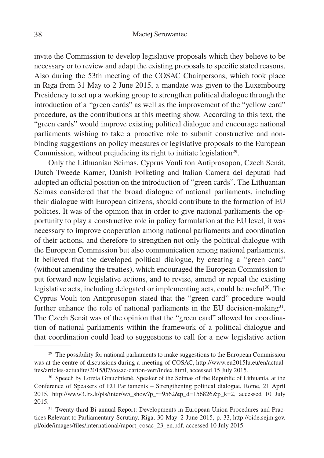invite the Commission to develop legislative proposals which they believe to be necessary or to review and adapt the existing proposals to specific stated reasons. Also during the 53th meeting of the COSAC Chairpersons, which took place in Riga from 31 May to 2 June 2015, a mandate was given to the Luxembourg Presidency to set up a working group to strengthen political dialogue through the introduction of a "green cards" as well as the improvement of the "yellow card" procedure, as the contributions at this meeting show. According to this text, the "green cards" would improve existing political dialogue and encourage national parliaments wishing to take a proactive role to submit constructive and nonbinding suggestions on policy measures or legislative proposals to the European Commission, without prejudicing its right to initiate legislation<sup>29</sup>.

Only the Lithuanian Seimas, Cyprus Vouli ton Antiprosopon, Czech Senát, Dutch Tweede Kamer, Danish Folketing and Italian Camera dei deputati had adopted an official position on the introduction of "green cards". The Lithuanian Seimas considered that the broad dialogue of national parliaments, including their dialogue with European citizens, should contribute to the formation of EU policies. It was of the opinion that in order to give national parliaments the opportunity to play a constructive role in policy formulation at the EU level, it was necessary to improve cooperation among national parliaments and coordination of their actions, and therefore to strengthen not only the political dialogue with the European Commission but also communication among national parliaments. It believed that the developed political dialogue, by creating a "green card" (without amending the treaties), which encouraged the European Commission to put forward new legislative actions, and to revise, amend or repeal the existing legislative acts, including delegated or implementing acts, could be useful<sup>30</sup>. The Cyprus Vouli ton Antiprosopon stated that the "green card" procedure would further enhance the role of national parliaments in the EU decision-making<sup>31</sup>. The Czech Senát was of the opinion that the "green card" allowed for coordination of national parliaments within the framework of a political dialogue and that coordination could lead to suggestions to call for a new legislative action

 $29$  The possibility for national parliaments to make suggestions to the European Commission was at the centre of discussions during a meeting of COSAC, http://www.eu2015lu.eu/en/actualites/articles-actualite/2015/07/cosac-carton-vert/index.html, accessed 15 July 2015.

<sup>&</sup>lt;sup>30</sup> Speech by Loreta Grauzinienė, Speaker of the Seimas of the Republic of Lithuania, at the Conference of Speakers of EU Parliaments – Strengthening political dialogue, Rome, 21 April 2015, http://www3.lrs.lt/pls/inter/w5\_show?p\_r=9562&p\_d=156826&p\_k=2, accessed 10 July 2015.

<sup>&</sup>lt;sup>31</sup> Twenty-third Bi-annual Report: Developments in European Union Procedures and Practices Relevant to Parliamentary Scrutiny, Riga, 30 May–2 June 2015, p. 33, http://oide.sejm.gov. pl/oide/images/files/international/raport\_cosac\_23\_en.pdf, accessed 10 July 2015.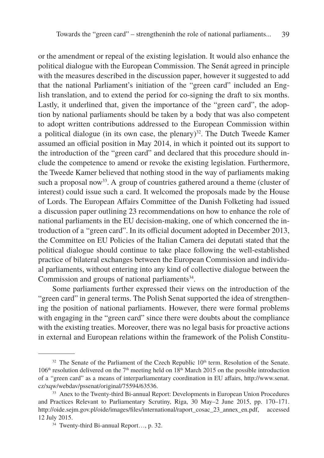or the amendment or repeal of the existing legislation. It would also enhance the political dialogue with the European Commission. The Senát agreed in principle with the measures described in the discussion paper, however it suggested to add that the national Parliament's initiation of the "green card" included an English translation, and to extend the period for co-signing the draft to six months. Lastly, it underlined that, given the importance of the "green card", the adoption by national parliaments should be taken by a body that was also competent to adopt written contributions addressed to the European Commission within a political dialogue (in its own case, the plenary)<sup>32</sup>. The Dutch Tweede Kamer assumed an official position in May 2014, in which it pointed out its support to the introduction of the "green card" and declared that this procedure should include the competence to amend or revoke the existing legislation. Furthermore, the Tweede Kamer believed that nothing stood in the way of parliaments making such a proposal now<sup>33</sup>. A group of countries gathered around a theme (cluster of interest) could issue such a card. It welcomed the proposals made by the House of Lords. The European Affairs Committee of the Danish Folketing had issued a discussion paper outlining 23 recommendations on how to enhance the role of national parliaments in the EU decision-making, one of which concerned the introduction of a "green card". In its official document adopted in December 2013, the Committee on EU Policies of the Italian Camera dei deputati stated that the political dialogue should continue to take place following the well-established practice of bilateral exchanges between the European Commission and individual parliaments, without entering into any kind of collective dialogue between the Commission and groups of national parliaments $34$ .

Some parliaments further expressed their views on the introduction of the "green card" in general terms. The Polish Senat supported the idea of strengthening the position of national parliaments. However, there were formal problems with engaging in the "green card" since there were doubts about the compliance with the existing treaties. Moreover, there was no legal basis for proactive actions in external and European relations within the framework of the Polish Constitu-

 $32$  The Senate of the Parliament of the Czech Republic  $10<sup>th</sup>$  term. Resolution of the Senate.  $106<sup>th</sup>$  resolution delivered on the 7<sup>th</sup> meeting held on 18<sup>th</sup> March 2015 on the possible introduction of a "green card" as a means of interparliamentary coordination in EU affairs, http://www.senat. cz/xqw/webdav/pssenat/original/75594/63536.

<sup>&</sup>lt;sup>33</sup> Anex to the Twenty-third Bi-annual Report: Developments in European Union Procedures and Practices Relevant to Parliamentary Scrutiny, Riga, 30 May–2 June 2015, pp. 170–171. http://oide.sejm.gov.pl/oide/images/files/international/raport\_cosac\_23\_annex\_en.pdf, accessed 12 July 2015.

<sup>34</sup> Twenty-third Bi-annual Report…, p. 32.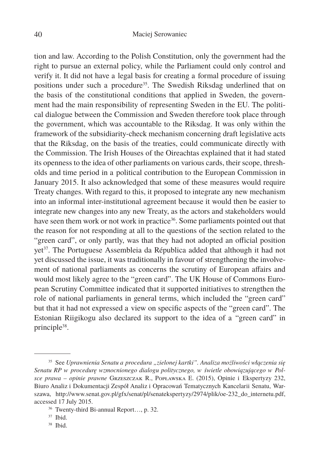tion and law. According to the Polish Constitution, only the government had the right to pursue an external policy, while the Parliament could only control and verify it. It did not have a legal basis for creating a formal procedure of issuing positions under such a procedure<sup>35</sup>. The Swedish Riksdag underlined that on the basis of the constitutional conditions that applied in Sweden, the government had the main responsibility of representing Sweden in the EU. The political dialogue between the Commission and Sweden therefore took place through the government, which was accountable to the Riksdag. It was only within the framework of the subsidiarity-check mechanism concerning draft legislative acts that the Riksdag, on the basis of the treaties, could communicate directly with the Commission. The Irish Houses of the Oireachtas explained that it had stated its openness to the idea of other parliaments on various cards, their scope, thresholds and time period in a political contribution to the European Commission in January 2015. It also acknowledged that some of these measures would require Treaty changes. With regard to this, it proposed to integrate any new mechanism into an informal inter-institutional agreement because it would then be easier to integrate new changes into any new Treaty, as the actors and stakeholders would have seen them work or not work in practice<sup>36</sup>. Some parliaments pointed out that the reason for not responding at all to the questions of the section related to the "green card", or only partly, was that they had not adopted an official position yet<sup>37</sup>. The Portuguese Assembleia da Républica added that although it had not yet discussed the issue, it was traditionally in favour of strengthening the involvement of national parliaments as concerns the scrutiny of European affairs and would most likely agree to the "green card". The UK House of Commons European Scrutiny Committee indicated that it supported initiatives to strengthen the role of national parliaments in general terms, which included the "green card" but that it had not expressed a view on specific aspects of the "green card". The Estonian Riigikogu also declared its support to the idea of a "green card" in principle<sup>38</sup>.

<sup>35</sup> See *Uprawnienia Senatu a procedura "zielonej kartki". Analiza możliwości włączenia się Senatu RP w procedurę wzmocnionego dialogu politycznego, w świetle obowiązującego w Polsce prawa – opinie prawne* Grzeszczak R., Popławska E. (2015), Opinie i Ekspertyzy 232, Biuro Analiz i Dokumentacji Zespół Analiz i Opracowań Tematycznych Kancelarii Senatu, Warszawa, http://www.senat.gov.pl/gfx/senat/pl/senatekspertyzy/2974/plik/oe-232\_do\_internetu.pdf, accessed 17 July 2015.

<sup>36</sup> Twenty-third Bi-annual Report…, p. 32.

<sup>37</sup> Ibid.

<sup>38</sup> Ibid.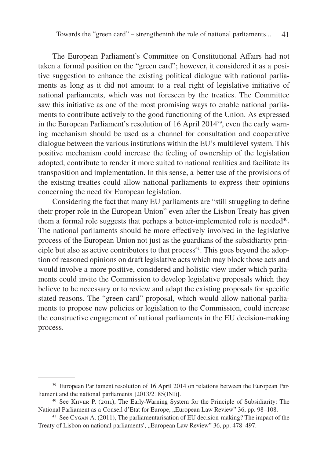The European Parliament's Committee on Constitutional Affairs had not taken a formal position on the "green card"; however, it considered it as a positive suggestion to enhance the existing political dialogue with national parliaments as long as it did not amount to a real right of legislative initiative of national parliaments, which was not foreseen by the treaties. The Committee saw this initiative as one of the most promising ways to enable national parliaments to contribute actively to the good functioning of the Union. As expressed in the European Parliament's resolution of 16 April 201439, even the early warning mechanism should be used as a channel for consultation and cooperative dialogue between the various institutions within the EU's multilevel system. This positive mechanism could increase the feeling of ownership of the legislation adopted, contribute to render it more suited to national realities and facilitate its transposition and implementation. In this sense, a better use of the provisions of the existing treaties could allow national parliaments to express their opinions concerning the need for European legislation.

Considering the fact that many EU parliaments are "still struggling to define their proper role in the European Union" even after the Lisbon Treaty has given them a formal role suggests that perhaps a better-implemented role is needed<sup>40</sup>. The national parliaments should be more effectively involved in the legislative process of the European Union not just as the guardians of the subsidiarity principle but also as active contributors to that  $process<sup>41</sup>$ . This goes beyond the adoption of reasoned opinions on draft legislative acts which may block those acts and would involve a more positive, considered and holistic view under which parliaments could invite the Commission to develop legislative proposals which they believe to be necessary or to review and adapt the existing proposals for specific stated reasons. The "green card" proposal, which would allow national parliaments to propose new policies or legislation to the Commission, could increase the constructive engagement of national parliaments in the EU decision-making process.

<sup>&</sup>lt;sup>39</sup> European Parliament resolution of 16 April 2014 on relations between the European Parliament and the national parliaments [2013/2185(INI)].

<sup>40</sup> See Kiiver P. (2011), The Early-Warning System for the Principle of Subsidiarity: The National Parliament as a Conseil d'Etat for Europe, "European Law Review" 36, pp. 98–108.

<sup>41</sup> See Cygan A. (2011), The parliamentarisation of EU decision-making? The impact of the Treaty of Lisbon on national parliaments', "European Law Review" 36, pp. 478–497.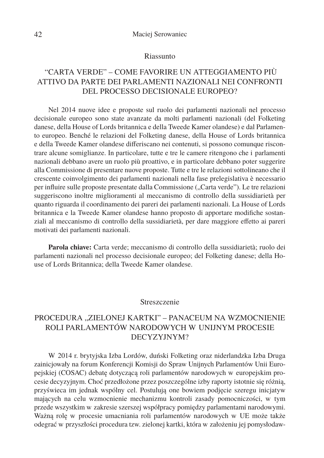#### Riassunto

# "CARTA VERDE" – COME FAVORIRE UN ATTEGGIAMENTO PIÙ ATTIVO DA PARTE DEI PARLAMENTI NAZIONALI NEI CONFRONTI DEL PROCESSO DECISIONALE EUROPEO?

Nel 2014 nuove idee e proposte sul ruolo dei parlamenti nazionali nel processo decisionale europeo sono state avanzate da molti parlamenti nazionali (del Folketing danese, della House of Lords britannica e della Tweede Kamer olandese) e dal Parlamento europeo. Benché le relazioni del Folketing danese, della House of Lords britannica e della Tweede Kamer olandese differiscano nei contenuti, si possono comunque riscontrare alcune somiglianze. In particolare, tutte e tre le camere ritengono che i parlamenti nazionali debbano avere un ruolo più proattivo, e in particolare debbano poter suggerire alla Commissione di presentare nuove proposte. Tutte e tre le relazioni sottolineano che il crescente coinvolgimento dei parlamenti nazionali nella fase prelegislativa è necessario per influire sulle proposte presentate dalla Commissione ("Carta verde"). Le tre relazioni suggeriscono inoltre miglioramenti al meccanismo di controllo della sussidiarietà per quanto riguarda il coordinamento dei pareri dei parlamenti nazionali. La House of Lords britannica e la Tweede Kamer olandese hanno proposto di apportare modifiche sostanziali al meccanismo di controllo della sussidiarietà, per dare maggiore effetto ai pareri motivati dei parlamenti nazionali.

**Parola chiave:** Carta verde; meccanismo di controllo della sussidiarietà; ruolo dei parlamenti nazionali nel processo decisionale europeo; del Folketing danese; della House of Lords Britannica; della Tweede Kamer olandese.

#### Streszczenie

# PROCEDURA "ZIELONEJ KARTKI" – PANACEUM NA WZMOCNIENIE ROLI PARLAMENTÓW NARODOWYCH W UNIJNYM PROCESIE DECYZYJNYM?

W 2014 r. brytyjska Izba Lordów, duński Folketing oraz niderlandzka Izba Druga zainicjowały na forum Konferencji Komisji do Spraw Unijnych Parlamentów Unii Europejskiej (COSAC) debatę dotyczącą roli parlamentów narodowych w europejskim procesie decyzyjnym. Choć przedłożone przez poszczególne izby raporty istotnie się różnią, przyświeca im jednak wspólny cel. Postulują one bowiem podjęcie szeregu inicjatyw mających na celu wzmocnienie mechanizmu kontroli zasady pomocniczości, w tym przede wszystkim w zakresie szerszej współpracy pomiędzy parlamentami narodowymi. Ważną rolę w procesie umacniania roli parlamentów narodowych w UE może także odegrać w przyszłości procedura tzw. zielonej kartki, która w założeniu jej pomysłodaw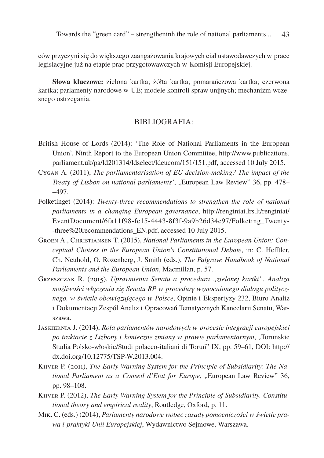ców przyczyni się do większego zaangażowania krajowych ciał ustawodawczych w prace legislacyjne już na etapie prac przygotowawczych w Komisji Europejskiej.

**Słowa kluczowe:** zielona kartka; żółta kartka; pomarańczowa kartka; czerwona kartka; parlamenty narodowe w UE; modele kontroli spraw unijnych; mechanizm wczesnego ostrzegania.

### BIBLIOGRAFIA:

- British House of Lords (2014): 'The Role of National Parliaments in the European Union', Ninth Report to the European Union Committee, http://www.publications. parliament.uk/pa/ld201314/ldselect/ldeucom/151/151.pdf, accessed 10 July 2015.
- Cygan A. (2011), *The parliamentarisation of EU decision-making? The impact of the Treaty of Lisbon on national parliaments'*, "European Law Review" 36, pp. 478– –497.
- Folketinget (2014): *Twenty-three recommendations to strengthen the role of national parliaments in a changing European governance*, http://renginiai.lrs.lt/renginiai/ EventDocument/6fa11f98-fc15-4443-8f3f-9a9b26d34c97/Folketing\_Twenty- -three%20recommendations\_EN.pdf, accessed 10 July 2015.
- Groen A., Christiansen T. (2015), *National Parliaments in the European Union: Conceptual Choises in the European Union's Constitutional Debate*, in: C. Hefftler, Ch. Neuhold, O. Rozenberg, J. Smith (eds.), *The Palgrave Handbook of National Parliaments and the European Union*, Macmillan, p. 57.
- Grzeszczak R. (2015), *Uprawnienia Senatu a procedura "zielonej kartki". Analiza możliwości włączenia się Senatu RP w procedurę wzmocnionego dialogu politycznego, w świetle obowiązującego w Polsce*, Opinie i Ekspertyzy 232, Biuro Analiz i Dokumentacji Zespół Analiz i Opracowań Tematycznych Kancelarii Senatu, Warszawa.
- Jaskiernia J. (2014), *Rola parlamentów narodowych w procesie integracji europejskiej po traktacie z Lizbony i konieczne zmiany w prawie parlamentarnym*, "Toruńskie Studia Polsko-włoskie/Studi polacco-italiani di Toruń" IX, pp. 59–61, DOI: http:// dx.doi.org/10.12775/TSP-W.2013.004.
- KIIVER P. (2011), *The Early-Warning System for the Principle of Subsidiarity: The National Parliament as a Conseil d'Etat for Europe*, "European Law Review" 36, pp. 98–108.
- Kiiver P. (2012), *The Early Warning System for the Principle of Subsidiarity. Constitutional theory and empirical reality*, Routledge, Oxford, p. 11.
- Mik. C. (eds.) (2014), *Parlamenty narodowe wobec zasady pomocniczości w świetle prawa i praktyki Unii Europejskiej*, Wydawnictwo Sejmowe, Warszawa.